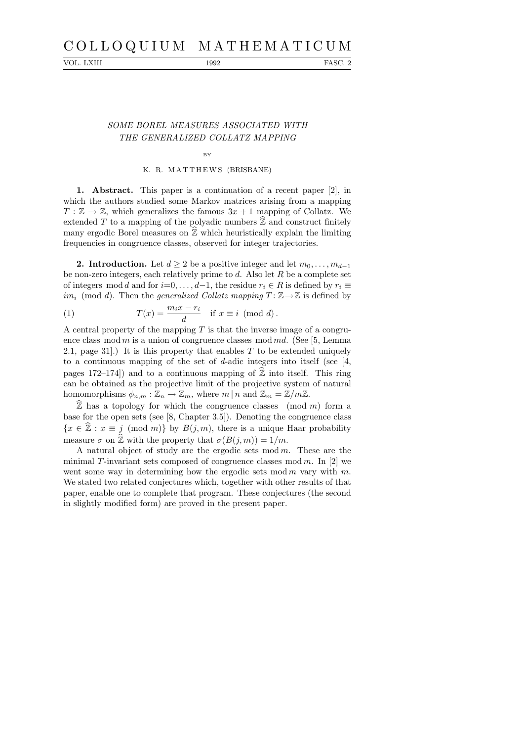# C O L L O Q U I U M M A T H E M A T I C U M

VOL. LXIII 1992 FASC. 2

### SOME BOREL MEASURES ASSOCIATED WITH THE GENERALIZED COLLATZ MAPPING

## BY K. R. M A T T H EW S (BRISBANE)

1. Abstract. This paper is a continuation of a recent paper [2], in which the authors studied some Markov matrices arising from a mapping  $T : \mathbb{Z} \to \mathbb{Z}$ , which generalizes the famous  $3x + 1$  mapping of Collatz. We extended T to a mapping of the polyadic numbers  $\mathbb Z$  and construct finitely many ergodic Borel measures on  $\mathbb{Z}$  which heuristically explain the limiting frequencies in congruence classes, observed for integer trajectories.

**2. Introduction.** Let  $d > 2$  be a positive integer and let  $m_0, \ldots, m_{d-1}$ be non-zero integers, each relatively prime to  $d$ . Also let  $R$  be a complete set of integers mod d and for  $i=0,\ldots,d-1$ , the residue  $r_i \in R$  is defined by  $r_i \equiv$ im<sub>i</sub> (mod d). Then the generalized Collatz mapping  $T : \mathbb{Z} \to \mathbb{Z}$  is defined by

(1) 
$$
T(x) = \frac{m_i x - r_i}{d} \quad \text{if } x \equiv i \pmod{d}.
$$

A central property of the mapping  $T$  is that the inverse image of a congruence class mod m is a union of congruence classes mod md. (See [5, Lemma 2.1, page 31.) It is this property that enables  $T$  to be extended uniquely to a continuous mapping of the set of d-adic integers into itself (see [4, pages 172–174) and to a continuous mapping of  $\hat{\mathbb{Z}}$  into itself. This ring can be obtained as the projective limit of the projective system of natural homomorphisms  $\phi_{n,m} : \mathbb{Z}_n \to \mathbb{Z}_m$ , where  $m \mid n$  and  $\mathbb{Z}_m = \mathbb{Z}/m\mathbb{Z}$ .

 $\widehat{\mathbb{Z}}$  has a topology for which the congruence classes (mod m) form a base for the open sets (see [8, Chapter 3.5]). Denoting the congruence class  ${x \in \hat{\mathbb{Z}} : x \equiv j \pmod{m}}$  by  $B(j, m)$ , there is a unique Haar probability measure  $\sigma$  on  $\hat{\mathbb{Z}}$  with the property that  $\sigma(B(i, m)) = 1/m$ .

A natural object of study are the ergodic sets mod  $m$ . These are the minimal T-invariant sets composed of congruence classes mod  $m$ . In [2] we went some way in determining how the ergodic sets mod  $m$  vary with  $m$ . We stated two related conjectures which, together with other results of that paper, enable one to complete that program. These conjectures (the second in slightly modified form) are proved in the present paper.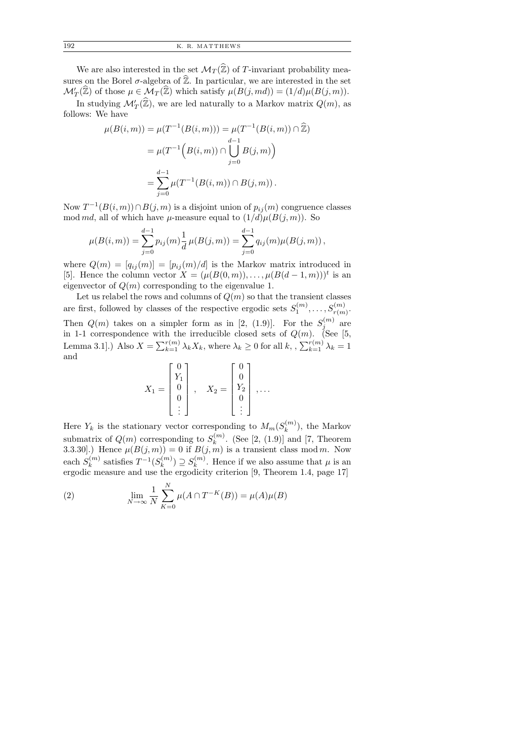| 192 |  | K. R. MATTHEWS |
|-----|--|----------------|
|-----|--|----------------|

We are also interested in the set  $\mathcal{M}_T(\widehat{\mathbb{Z}})$  of T-invariant probability measures on the Borel  $\sigma$ -algebra of  $\hat{\mathbb{Z}}$ . In particular, we are interested in the set  $\mathcal{M}'_T(\widehat{\mathbb{Z}})$  of those  $\mu \in \mathcal{M}_T(\widehat{\mathbb{Z}})$  which satisfy  $\mu(B(j, md)) = (1/d)\mu(B(j, m)).$ 

In studying  $\mathcal{M}'_T(\widehat{\mathbb{Z}})$ , we are led naturally to a Markov matrix  $Q(m)$ , as follows: We have

$$
\mu(B(i,m)) = \mu(T^{-1}(B(i,m))) = \mu(T^{-1}(B(i,m)) \cap \hat{\mathbb{Z}})
$$

$$
= \mu(T^{-1}\left(B(i,m)) \cap \bigcup_{j=0}^{d-1} B(j,m)\right)
$$

$$
= \sum_{j=0}^{d-1} \mu(T^{-1}(B(i,m)) \cap B(j,m)).
$$

Now  $T^{-1}(B(i,m)) \cap B(j,m)$  is a disjoint union of  $p_{ij}(m)$  congruence classes mod md, all of which have  $\mu$ -measure equal to  $(1/d)\mu(B(j,m))$ . So

$$
\mu(B(i,m)) = \sum_{j=0}^{d-1} p_{ij}(m) \frac{1}{d} \mu(B(j,m)) = \sum_{j=0}^{d-1} q_{ij}(m) \mu(B(j,m)),
$$

where  $Q(m) = [q_{ij}(m)] = [p_{ij}(m)/d]$  is the Markov matrix introduced in [5]. Hence the column vector  $X = (\mu(B(0,m)), \ldots, \mu(B(d-1,m)))^t$  is an eigenvector of  $Q(m)$  corresponding to the eigenvalue 1.

Let us relabel the rows and columns of  $Q(m)$  so that the transient classes are first, followed by classes of the respective ergodic sets  $S_1^{(m)}$  $S_{r(m)}^{(m)}, \ldots, S_{r(m)}^{(m)}.$ Then  $Q(m)$  takes on a simpler form as in [2, (1.9)]. For the  $S_i^{(m)}$  $j^{(m)}$  are in 1-1 correspondence with the irreducible closed sets of  $Q(m)$ . (See [5, Lemma 3.1].) Also  $X = \sum_{k=1}^{r(m)} \lambda_k X_k$ , where  $\lambda_k \geq 0$  for all  $k, \sum_{k=1}^{r(m)} \lambda_k = 1$ and

$$
X_1 = \begin{bmatrix} 0 \\ Y_1 \\ 0 \\ 0 \\ \vdots \end{bmatrix}, \quad X_2 = \begin{bmatrix} 0 \\ 0 \\ Y_2 \\ 0 \\ \vdots \end{bmatrix}, \dots
$$

Here  $Y_k$  is the stationary vector corresponding to  $M_m(S_k^{(m)})$  $\binom{n(n)}{k}$ , the Markov submatrix of  $Q(m)$  corresponding to  $S_k^{(m)}$  $\binom{m}{k}$ . (See [2, (1.9)] and [7, Theorem 3.3.30].) Hence  $\mu(B(j,m)) = 0$  if  $B(j,m)$  is a transient class mod m. Now each  $S_k^{(m)}$  $\binom{m}{k}$  satisfies  $T^{-1}(S_k^{(m)})$  $s_k^{(m)}) \supseteq s_k^{(m)}$  $\binom{m}{k}$ . Hence if we also assume that  $\mu$  is an ergodic measure and use the ergodicity criterion [9, Theorem 1.4, page 17]

(2) 
$$
\lim_{N \to \infty} \frac{1}{N} \sum_{K=0}^{N} \mu(A \cap T^{-K}(B)) = \mu(A)\mu(B)
$$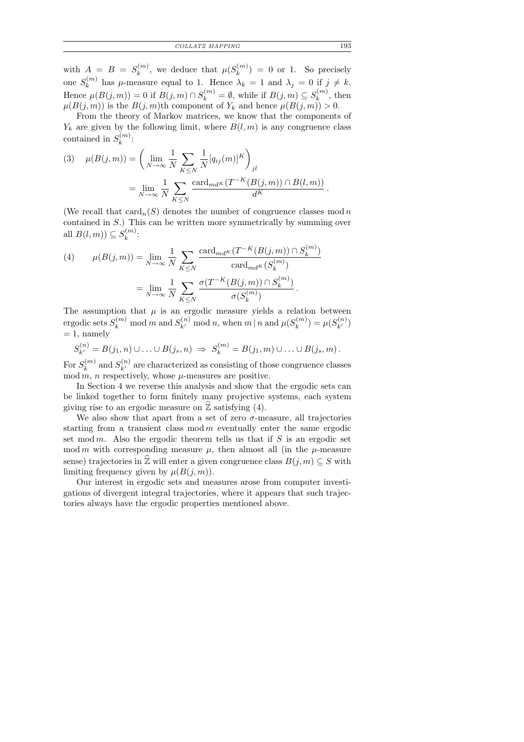with  $A = B = S_k^{(m)}$  $\mu_k^{(m)}$ , we deduce that  $\mu(S_k^{(m)})$  $\binom{m}{k}$  = 0 or 1. So precisely one  $S_k^{(m)}$  $\lambda_k^{(m)}$  has  $\mu$ -measure equal to 1. Hence  $\lambda_k = 1$  and  $\lambda_j = 0$  if  $j \neq k$ . Hence  $\mu(B(j,m)) = 0$  if  $B(j,m) \cap S_k^{(m)} = \emptyset$ , while if  $B(j,m) \subseteq S_k^{(m)}$  $\binom{m}{k}$ , then  $\mu(B(j,m))$  is the  $B(j,m)$ <sup>th</sup> component of  $Y_k$  and hence  $\mu(B(j,m)) > 0$ .

From the theory of Markov matrices, we know that the components of  $Y_k$  are given by the following limit, where  $B(l, m)$  is any congruence class contained in  $S_k^{(m)}$  $\frac{k^{(m)}}{k}$ :

(3) 
$$
\mu(B(j,m)) = \left(\lim_{N \to \infty} \frac{1}{N} \sum_{K \leq N} \frac{1}{N} [q_{ij}(m)]^K\right)_{jl}
$$

$$
= \lim_{N \to \infty} \frac{1}{N} \sum_{K \leq N} \frac{\operatorname{card}_{md^K}(T^{-K}(B(j,m)) \cap B(l,m))}{d^K}.
$$

(We recall that  $card_n(S)$  denotes the number of congruence classes mod n contained in S.) This can be written more symmetrically by summing over all  $B(l,m) \subseteq S_k^{(m)}$  $\frac{m}{k}$ :

(4) 
$$
\mu(B(j,m)) = \lim_{N \to \infty} \frac{1}{N} \sum_{K \leq N} \frac{\text{card}_{md^K}(T^{-K}(B(j,m)) \cap S_k^{(m)})}{\text{card}_{md^K}(S_k^{(m)})}
$$

$$
= \lim_{N \to \infty} \frac{1}{N} \sum_{K \leq N} \frac{\sigma(T^{-K}(B(j,m)) \cap S_k^{(m)})}{\sigma(S_k^{(m)})}.
$$

The assumption that  $\mu$  is an ergodic measure yields a relation between ergodic sets  $S_k^{(m)}$  mod m and  $S_{k'}^{(n)}$  mod n, when m | n and  $\mu(S_k^{(m)})$  $\mu_k^{(m)}$ ) =  $\mu(S_{k'}^{(n)})$  $= 1$ , namely

$$
S_{k'}^{(n)} = B(j_1, n) \cup \ldots \cup B(j_s, n) \Rightarrow S_k^{(m)} = B(j_1, m) \cup \ldots \cup B(j_s, m).
$$

For  $S_k^{(m)}$  $\binom{m}{k}$  and  $S_{k'}^{(n)}$  are characterized as consisting of those congruence classes  $mod m$ , *n* respectively, whose  $\mu$ -measures are positive.

In Section 4 we reverse this analysis and show that the ergodic sets can be linked together to form finitely many projective systems, each system giving rise to an ergodic measure on  $\mathbb Z$  satisfying (4).

We also show that apart from a set of zero  $\sigma$ -measure, all trajectories starting from a transient class  $mod m$  eventually enter the same ergodic set mod m. Also the ergodic theorem tells us that if  $S$  is an ergodic set mod m with corresponding measure  $\mu$ , then almost all (in the  $\mu$ -measure sense) trajectories in  $\widehat{\mathbb{Z}}$  will enter a given congruence class  $B(j, m) \subseteq S$  with limiting frequency given by  $\mu(B(j,m))$ .

Our interest in ergodic sets and measures arose from computer investigations of divergent integral trajectories, where it appears that such trajectories always have the ergodic properties mentioned above.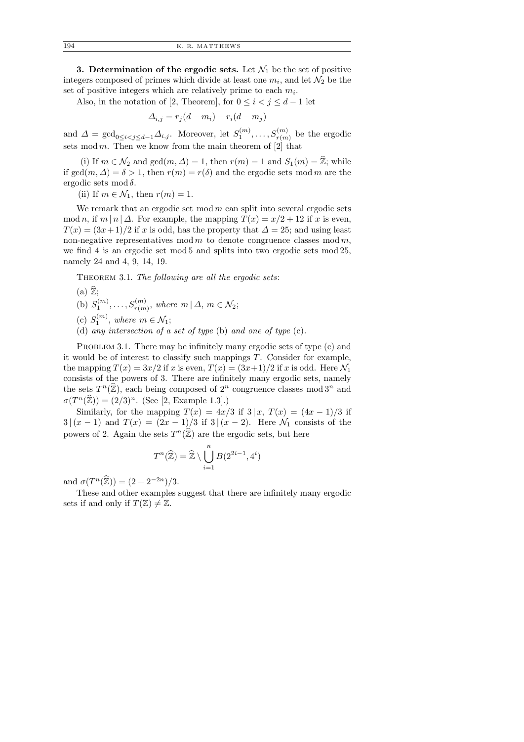3. Determination of the ergodic sets. Let  $\mathcal{N}_1$  be the set of positive integers composed of primes which divide at least one  $m_i$ , and let  $\mathcal{N}_2$  be the set of positive integers which are relatively prime to each  $m_i$ .

Also, in the notation of [2, Theorem], for  $0 \leq i < j \leq d-1$  let

$$
\Delta_{i,j} = r_j(d - m_i) - r_i(d - m_j)
$$

and  $\Delta = \gcd_{0 \leq i < j \leq d-1} \Delta_{i,j}$ . Moreover, let  $S_1^{(m)}$  $s_1^{(m)},\ldots,s_{r(m)}^{(m)}$  be the ergodic sets mod m. Then we know from the main theorem of  $[2]$  that

(i) If  $m \in \mathcal{N}_2$  and  $gcd(m, \Delta) = 1$ , then  $r(m) = 1$  and  $S_1(m) = \mathbb{Z}$ ; while if  $gcd(m, \Delta) = \delta > 1$ , then  $r(m) = r(\delta)$  and the ergodic sets mod m are the ergodic sets mod  $\delta$ .

(ii) If  $m \in \mathcal{N}_1$ , then  $r(m) = 1$ .

We remark that an ergodic set mod  $m$  can split into several ergodic sets mod n, if  $m | n | \Delta$ . For example, the mapping  $T(x) = x/2 + 12$  if x is even,  $T(x) = (3x+1)/2$  if x is odd, has the property that  $\Delta = 25$ ; and using least non-negative representatives mod m to denote congruence classes mod m, we find 4 is an ergodic set mod 5 and splits into two ergodic sets mod 25, namely 24 and 4, 9, 14, 19.

THEOREM 3.1. The following are all the ergodic sets:

- $(a)$   $\mathbb{Z}$ ;
- (b)  $S_1^{(m)}$  $S_{T(m)}^{(m)}, \ldots, S_{T(m)}^{(m)}$ , where  $m | \Delta, m \in \mathcal{N}_2$ ;
- (c)  $S_1^{(m)}$  $\mathcal{N}_1^{(m)}$ , where  $m \in \mathcal{N}_1$ ;
- (d) any intersection of a set of type (b) and one of type (c).

PROBLEM 3.1. There may be infinitely many ergodic sets of type (c) and it would be of interest to classify such mappings T. Consider for example, the mapping  $T(x) = 3x/2$  if x is even,  $T(x) = (3x+1)/2$  if x is odd. Here  $\mathcal{N}_1$ consists of the powers of 3. There are infinitely many ergodic sets, namely the sets  $T^n(\widehat{\mathbb{Z}})$ , each being composed of  $2^n$  congruence classes mod  $3^n$  and  $\sigma(T^n(\widehat{\mathbb{Z}})) = (2/3)^n$ . (See [2, Example 1.3].)

Similarly, for the mapping  $T(x) = 4x/3$  if  $3 | x, T(x) = (4x - 1)/3$  if 3 |  $(x - 1)$  and  $T(x) = (2x - 1)/3$  if 3 |  $(x - 2)$ . Here  $\mathcal{N}_1$  consists of the powers of 2. Again the sets  $T^n(\widehat{\mathbb{Z}})$  are the ergodic sets, but here

$$
T^n(\widehat{\mathbb{Z}}) = \widehat{\mathbb{Z}} \setminus \bigcup_{i=1}^n B(2^{2i-1}, 4^i)
$$

and  $\sigma(T^n(\hat{\mathbb{Z}})) = (2 + 2^{-2n})/3$ .

These and other examples suggest that there are infinitely many ergodic sets if and only if  $T(\mathbb{Z}) \neq \mathbb{Z}$ .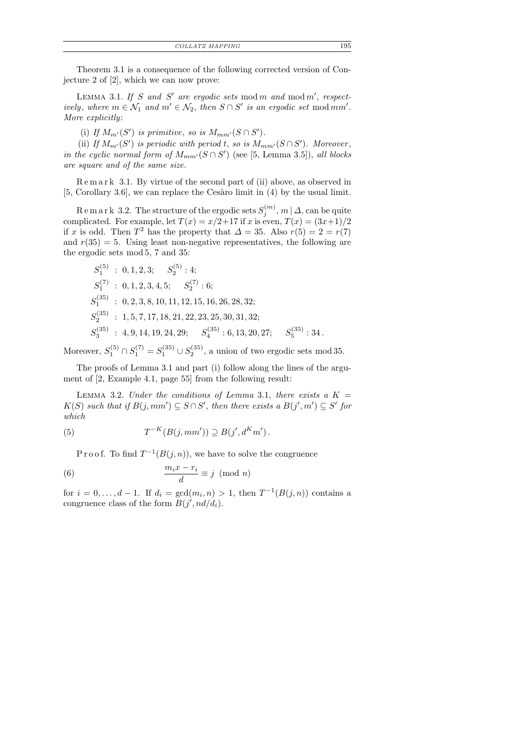| Theorem 3.1 is a consequence of the following corrected version of Con- |  |
|-------------------------------------------------------------------------|--|
| jecture 2 of $[2]$ , which we can now prove:                            |  |

LEMMA 3.1. If S and S' are ergodic sets mod m and mod m', respectively, where  $m \in \mathcal{N}_1$  and  $m' \in \mathcal{N}_2$ , then  $S \cap S'$  is an ergodic set mod mm'. More explicitly:

(i) If  $M_{m'}(S')$  is primitive, so is  $M_{mm'}(S \cap S')$ .

(ii) If  $M_{m'}(S')$  is periodic with period t, so is  $M_{mm'}(S \cap S')$ . Moreover, in the cyclic normal form of  $M_{mm'}(S \cap S')$  (see [5, Lemma 3.5]), all blocks are square and of the same size.

R e m a r k 3.1. By virtue of the second part of (ii) above, as observed in  $[5, Corollary 3.6]$ , we can replace the Cesaro limit in  $(4)$  by the usual limit.

R e m a r k 3.2. The structure of the ergodic sets  $S_i^{(m)}$  $j^{(m)}, m | \varDelta, \text{can be quite}$ complicated. For example, let  $T(x) = x/2+17$  if x is even,  $T(x) = (3x+1)/2$ if x is odd. Then  $T^2$  has the property that  $\Delta = 35$ . Also  $r(5) = 2 = r(7)$ and  $r(35) = 5$ . Using least non-negative representatives, the following are the ergodic sets mod 5, 7 and 35:

$$
S_1^{(5)}: 0, 1, 2, 3; S_2^{(5)}: 4; \nS_1^{(7)}: 0, 1, 2, 3, 4, 5; S_2^{(7)}: 6; \nS_1^{(35)}: 0, 2, 3, 8, 10, 11, 12, 15, 16, 26, 28, 32; \nS_2^{(35)}: 1, 5, 7, 17, 18, 21, 22, 23, 25, 30, 31, 32; \nS_3^{(35)}: 4, 9, 14, 19, 24, 29; S_4^{(35)}: 6, 13, 20, 27; S_5^{(35)}: 34.
$$

Moreover,  $S_1^{(5)} \cap S_1^{(7)} = S_1^{(35)} \cup S_2^{(35)}$  $2^{(35)}$ , a union of two ergodic sets mod 35.

The proofs of Lemma 3.1 and part (i) follow along the lines of the argument of [2, Example 4.1, page 55] from the following result:

LEMMA 3.2. Under the conditions of Lemma 3.1, there exists a  $K =$  $K(S)$  such that if  $B(j, mm') \subseteq S \cap S'$ , then there exists a  $B(j', m') \subseteq S'$  for which

(5) 
$$
T^{-K}(B(j,mm')) \supseteq B(j',d^Km').
$$

P r o o f. To find  $T^{-1}(B(j, n))$ , we have to solve the congruence

(6) 
$$
\frac{m_i x - r_i}{d} \equiv j \pmod{n}
$$

for  $i = 0, \ldots, d - 1$ . If  $d_i = \gcd(m_i, n) > 1$ , then  $T^{-1}(B(j, n))$  contains a congruence class of the form  $B(j', nd/d_i)$ .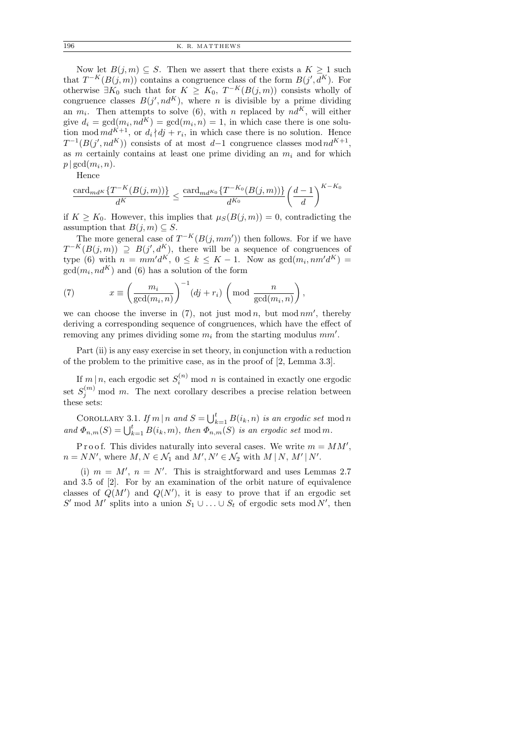Now let  $B(j, m) \subseteq S$ . Then we assert that there exists a  $K \geq 1$  such that  $T^{-K}(B(j,m))$  contains a congruence class of the form  $B(j', d^K)$ . For otherwise  $\exists K_0$  such that for  $K \geq K_0$ ,  $T^{-K}(B(j,m))$  consists wholly of congruence classes  $B(j', nd^K)$ , where *n* is divisible by a prime dividing an  $m_i$ . Then attempts to solve (6), with n replaced by  $nd^K$ , will either give  $d_i = \gcd(m_i, nd^K) = \gcd(m_i, n) = 1$ , in which case there is one solution mod  $md^{K+1}$ , or  $d_i/dj + r_i$ , in which case there is no solution. Hence  $T^{-1}(B(j',nd^K))$  consists of at most d-1 congruence classes mod $nd^{K+1}$ , as m certainly contains at least one prime dividing an  $m_i$  and for which  $p | gcd(m_i, n).$ 

Hence

$$
\frac{\operatorname{card}_{md^K}\{T^{-K}(B(j,m))\}}{d^K} \le \frac{\operatorname{card}_{md^{K_0}}\{T^{-K_0}(B(j,m))\}}{d^{K_0}} \left(\frac{d-1}{d}\right)^{K-K_0}
$$

if  $K \geq K_0$ . However, this implies that  $\mu_S(B(j,m)) = 0$ , contradicting the assumption that  $B(j, m) \subseteq S$ .

The more general case of  $T^{-K}(B(j, mm'))$  then follows. For if we have  $T^{-K}(B(j,m)) \supseteq B(j',d^K)$ , there will be a sequence of congruences of type (6) with  $n = mm'd^K$ ,  $0 \le k \le K - 1$ . Now as  $gcd(m_i, nm'd^K)$  =  $gcd(m_i, nd^K)$  and (6) has a solution of the form

(7) 
$$
x \equiv \left(\frac{m_i}{\gcd(m_i, n)}\right)^{-1} (dj + r_i) \left(\text{mod }\frac{n}{\gcd(m_i, n)}\right),
$$

we can choose the inverse in  $(7)$ , not just mod n, but mod nm', thereby deriving a corresponding sequence of congruences, which have the effect of removing any primes dividing some  $m_i$  from the starting modulus  $mm'$ .

Part (ii) is any easy exercise in set theory, in conjunction with a reduction of the problem to the primitive case, as in the proof of [2, Lemma 3.3].

If  $m|n$ , each ergodic set  $S_i^{(n)}$  mod n is contained in exactly one ergodic set  $S_j^{(m)}$  mod m. The next corollary describes a precise relation between these sets:

COROLLARY 3.1. If  $m \mid n \text{ and } S = \bigcup_{k=1}^{t} B(i_k, n)$  is an ergodic set mod n and  $\Phi_{n,m}(S) = \bigcup_{k=1}^t B(i_k,m)$ , then  $\Phi_{n,m}(S)$  is an ergodic set mod m.

P r o o f. This divides naturally into several cases. We write  $m = MM'$ ,  $n = NN'$ , where  $M, N \in \mathcal{N}_1$  and  $M', N' \in \mathcal{N}_2$  with  $M \mid N, M' \mid N'$ .

(i)  $m = M'$ ,  $n = N'$ . This is straightforward and uses Lemmas 2.7 and 3.5 of [2]. For by an examination of the orbit nature of equivalence classes of  $Q(M')$  and  $Q(N')$ , it is easy to prove that if an ergodic set S' mod M' splits into a union  $S_1 \cup \ldots \cup S_t$  of ergodic sets mod N', then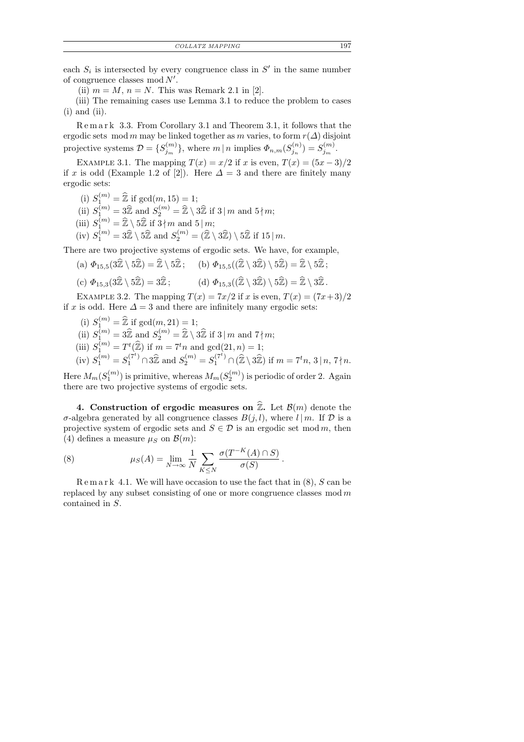each  $S_i$  is intersected by every congruence class in  $S'$  in the same number of congruence classes  $mod N'$ .

(ii)  $m = M$ ,  $n = N$ . This was Remark 2.1 in [2].

(iii) The remaining cases use Lemma 3.1 to reduce the problem to cases  $(i)$  and  $(ii)$ .

R e m a r k 3.3. From Corollary 3.1 and Theorem 3.1, it follows that the ergodic sets mod m may be linked together as m varies, to form  $r(\Delta)$  disjoint projective systems  $\mathcal{D} = \{S_{i_m}^{(m)}\}$  $\mathcal{F}_{j_m}^{(m)}\},\,\text{where}\,\,m\,|\,n\,\,\text{implies}\,\Phi_{n,m}(S_{j_n}^{(n)})$  $\binom{n}{j_n}=S_{j_m}^{(m)}$  $\frac{(m)}{j_m}$ .

EXAMPLE 3.1. The mapping  $T(x) = x/2$  if x is even,  $T(x) = (5x - 3)/2$ if x is odd (Example 1.2 of [2]). Here  $\Delta = 3$  and there are finitely many ergodic sets:

(i)  $S_1^{(m)} = \widehat{\mathbb{Z}}$  if  $gcd(m, 15) = 1;$ 

(ii)  $S_1^{(m)} = 3\widehat{Z}$  and  $S_2^{(m)} = \widehat{Z} \setminus 3\widehat{Z}$  if 3 | m and 5 | m;

(iii)  $S_1^{(m)} = \widehat{\mathbb{Z}} \setminus 5\widehat{\mathbb{Z}}$  if  $3 \nmid m$  and  $5 \mid m$ ;

(iv) 
$$
S_1^{(m)} = 3\hat{\mathbb{Z}} \setminus 5\hat{\mathbb{Z}}
$$
 and  $S_2^{(m)} = (\hat{\mathbb{Z}} \setminus 3\hat{\mathbb{Z}}) \setminus 5\hat{\mathbb{Z}}$  if 15 | m.

There are two projective systems of ergodic sets. We have, for example,

- (a)  $\Phi_{15,5}(3\hat{\mathbb{Z}} \setminus 5\hat{\mathbb{Z}}) = \hat{\mathbb{Z}} \setminus 5\hat{\mathbb{Z}}$ ; (b)  $\Phi_{15,5}((\hat{\mathbb{Z}} \setminus 3\hat{\mathbb{Z}}) \setminus 5\hat{\mathbb{Z}}) = \hat{\mathbb{Z}} \setminus 5\hat{\mathbb{Z}}$ ;
- (c)  $\Phi_{15,3}(3\hat{\mathbb{Z}} \setminus 5\hat{\mathbb{Z}}) = 3\hat{\mathbb{Z}}$ ; (d)  $\Phi_{15,3}((\hat{\mathbb{Z}} \setminus 3\hat{\mathbb{Z}}) \setminus 5\hat{\mathbb{Z}}) = \hat{\mathbb{Z}} \setminus 3\hat{\mathbb{Z}}$ .

EXAMPLE 3.2. The mapping  $T(x) = 7x/2$  if x is even,  $T(x) = (7x+3)/2$ if x is odd. Here  $\Delta = 3$  and there are infinitely many ergodic sets:

- (i)  $S_1^{(m)} = \widehat{\mathbb{Z}}$  if  $gcd(m, 21) = 1;$
- (ii)  $S_1^{(m)} = 3\widehat{Z}$  and  $S_2^{(m)} = \widehat{Z} \setminus 3\widehat{Z}$  if 3 | m and 7 | m;
- (iii)  $S_1^{(m)} = T^t(\widehat{\mathbb{Z}})$  if  $m = 7^t n$  and  $gcd(21, n) = 1$ ;<br>(iii)  $S_1^{(m)} = S^{(7^t)} \cap 2 \widehat{\mathbb{Z}}$  and  $S_1^{(m)} = S^{(7^t)} \cap (\widehat{\mathbb{Z}} \setminus 2 \widehat{\mathbb{Z}})$

(iv) 
$$
S_1^{(m)} = S_1^{(7^t)} \cap 3\hat{\mathbb{Z}}
$$
 and  $S_2^{(m)} = S_1^{(7^t)} \cap (\hat{\mathbb{Z}} \setminus 3\hat{\mathbb{Z}})$  if  $m = 7^t n$ ,  $3 \mid n, 7 \nmid n$ .

Here  $M_m(S_1^{(m)}$  $\mathcal{N}_1^{(m)})$  is primitive, whereas  $M_m(S_2^{(m)})$  $2^{(m)}$ ) is periodic of order 2. Again there are two projective systems of ergodic sets.

4. Construction of ergodic measures on  $\widehat{\mathbb{Z}}$ . Let  $\mathcal{B}(m)$  denote the σ-algebra generated by all congruence classes  $B(j, l)$ , where  $l | m$ . If  $D$  is a projective system of ergodic sets and  $S \in \mathcal{D}$  is an ergodic set mod m, then (4) defines a measure  $\mu_S$  on  $\mathcal{B}(m)$ :

(8) 
$$
\mu_S(A) = \lim_{N \to \infty} \frac{1}{N} \sum_{K \leq N} \frac{\sigma(T^{-K}(A) \cap S)}{\sigma(S)}
$$

 $\mathbb{R}$  e m a r k 4.1. We will have occasion to use the fact that in (8), S can be replaced by any subset consisting of one or more congruence classes  $mod m$ contained in S.

.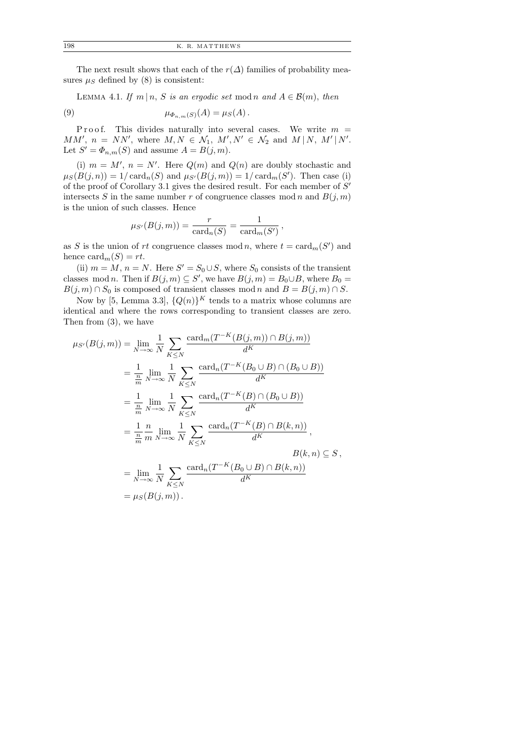The next result shows that each of the  $r(\Delta)$  families of probability measures  $\mu_S$  defined by (8) is consistent:

LEMMA 4.1. If  $m | n, S$  is an ergodic set mod n and  $A \in \mathcal{B}(m)$ , then

(9) 
$$
\mu_{\Phi_{n,m}(S)}(A) = \mu_S(A).
$$

P r o o f. This divides naturally into several cases. We write  $m =$ MM',  $n = NN'$ , where  $M, N \in \mathcal{N}_1, M', N' \in \mathcal{N}_2$  and  $M \mid N, M' \mid N'$ . Let  $S' = \Phi_{n,m}(S)$  and assume  $A = B(j,m)$ .

(i)  $m = M'$ ,  $n = N'$ . Here  $Q(m)$  and  $Q(n)$  are doubly stochastic and  $\mu_S(B(j,n)) = 1/\operatorname{card}_n(S)$  and  $\mu_{S'}(B(j,m)) = 1/\operatorname{card}_m(S')$ . Then case (i) of the proof of Corollary 3.1 gives the desired result. For each member of  $S'$ intersects S in the same number r of congruence classes mod n and  $B(j, m)$ is the union of such classes. Hence

$$
\mu_{S'}(B(j,m)) = \frac{r}{\text{card}_n(S)} = \frac{1}{\text{card}_m(S')},
$$

as S is the union of rt congruence classes mod n, where  $t = \text{card}_m(S')$  and hence  $card_m(S) = rt$ .

(ii)  $m = M$ ,  $n = N$ . Here  $S' = S_0 \cup S$ , where  $S_0$  consists of the transient classes mod *n*. Then if  $B(j, m) \subseteq S'$ , we have  $B(j, m) = B_0 \cup B$ , where  $B_0 =$  $B(j, m) \cap S_0$  is composed of transient classes mod n and  $B = B(j, m) \cap S$ .

Now by [5, Lemma 3.3],  ${Q(n)}^K$  tends to a matrix whose columns are identical and where the rows corresponding to transient classes are zero. Then from (3), we have

$$
\mu_{S'}(B(j,m)) = \lim_{N \to \infty} \frac{1}{N} \sum_{K \leq N} \frac{\text{card}_m(T^{-K}(B(j,m)) \cap B(j,m))}{d^K}
$$
  
\n
$$
= \frac{1}{\frac{n}{m}} \lim_{N \to \infty} \frac{1}{N} \sum_{K \leq N} \frac{\text{card}_n(T^{-K}(B_0 \cup B) \cap (B_0 \cup B))}{d^K}
$$
  
\n
$$
= \frac{1}{\frac{n}{m}} \lim_{N \to \infty} \frac{1}{N} \sum_{K \leq N} \frac{\text{card}_n(T^{-K}(B) \cap (B_0 \cup B))}{d^K}
$$
  
\n
$$
= \frac{1}{\frac{n}{m}} \lim_{N \to \infty} \frac{1}{N} \sum_{K \leq N} \frac{\text{card}_n(T^{-K}(B) \cap B(k,n))}{d^K},
$$
  
\n
$$
B(k,n) \subseteq S,
$$
  
\n
$$
= \lim_{N \to \infty} \frac{1}{N} \sum_{K \leq N} \frac{\text{card}_n(T^{-K}(B_0 \cup B) \cap B(k,n))}{d^K}
$$
  
\n
$$
= \mu_S(B(j,m)).
$$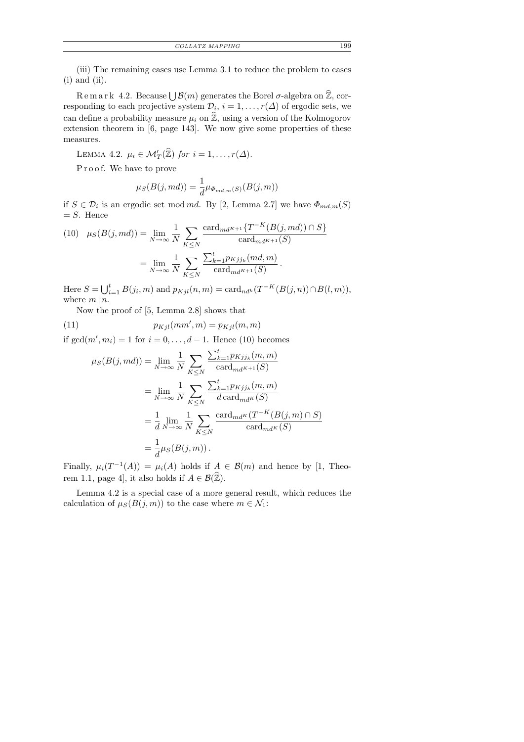(iii) The remaining cases use Lemma 3.1 to reduce the problem to cases (i) and (ii).

 $R$  e m a r k 4.2. Because  $\bigcup \mathcal{B}(m)$  generates the Borel  $\sigma$ -algebra on  $\widehat{\mathbb{Z}}$ , corresponding to each projective system  $\mathcal{D}_i$ ,  $i = 1, \ldots, r(\Delta)$  of ergodic sets, we can define a probability measure  $\mu_i$  on  $\hat{\mathbb{Z}}$ , using a version of the Kolmogorov extension theorem in [6, page 143]. We now give some properties of these measures.

LEMMA 4.2.  $\mu_i \in \mathcal{M}'_T(\widehat{\mathbb{Z}})$  for  $i = 1, \ldots, r(\Delta)$ .

Proof. We have to prove

$$
\mu_S(B(j, md)) = \frac{1}{d} \mu_{\Phi_{md,m}(S)}(B(j,m))
$$

if  $S \in \mathcal{D}_i$  is an ergodic set mod md. By [2, Lemma 2.7] we have  $\Phi_{md,m}(S)$  $= S$ . Hence

(10) 
$$
\mu_S(B(j, md)) = \lim_{N \to \infty} \frac{1}{N} \sum_{K \le N} \frac{\text{card}_{md^{K+1}}\{T^{-K}(B(j, md)) \cap S\}}{\text{card}_{md^{K+1}}(S)}
$$

$$
= \lim_{N \to \infty} \frac{1}{N} \sum_{K \le N} \frac{\sum_{k=1}^t p_{Kjj_k}(md, m)}{\text{card}_{md^{K+1}}(S)}.
$$

Here  $S = \bigcup_{i=1}^{t} B(j_i, m)$  and  $p_{Kjl}(n, m) = \text{card}_{nd^k}(T^{-K}(B(j, n)) \cap B(l, m)),$ where  $m \mid n$ .

Now the proof of [5, Lemma 2.8] shows that

(11) 
$$
p_{Kjl}(mm',m) = p_{Kjl}(m,m)
$$

if  $gcd(m', m_i) = 1$  for  $i = 0, \ldots, d - 1$ . Hence (10) becomes

$$
\mu_S(B(j, md)) = \lim_{N \to \infty} \frac{1}{N} \sum_{K \leq N} \frac{\sum_{k=1}^t p_{Kjj_k}(m, m)}{\text{card}_{md^{K+1}}(S)}
$$
  
\n
$$
= \lim_{N \to \infty} \frac{1}{N} \sum_{K \leq N} \frac{\sum_{k=1}^t p_{Kjj_k}(m, m)}{d \text{card}_{md^K}(S)}
$$
  
\n
$$
= \frac{1}{d} \lim_{N \to \infty} \frac{1}{N} \sum_{K \leq N} \frac{\text{card}_{md^K}(T^{-K}(B(j, m) \cap S))}{\text{card}_{md^K}(S)}
$$
  
\n
$$
= \frac{1}{d} \mu_S(B(j, m)).
$$

Finally,  $\mu_i(T^{-1}(A)) = \mu_i(A)$  holds if  $A \in \mathcal{B}(m)$  and hence by [1, Theorem 1.1, page 4], it also holds if  $A \in \mathcal{B}(\hat{\mathbb{Z}})$ .

Lemma 4.2 is a special case of a more general result, which reduces the calculation of  $\mu_S(B(j,m))$  to the case where  $m \in \mathcal{N}_1$ :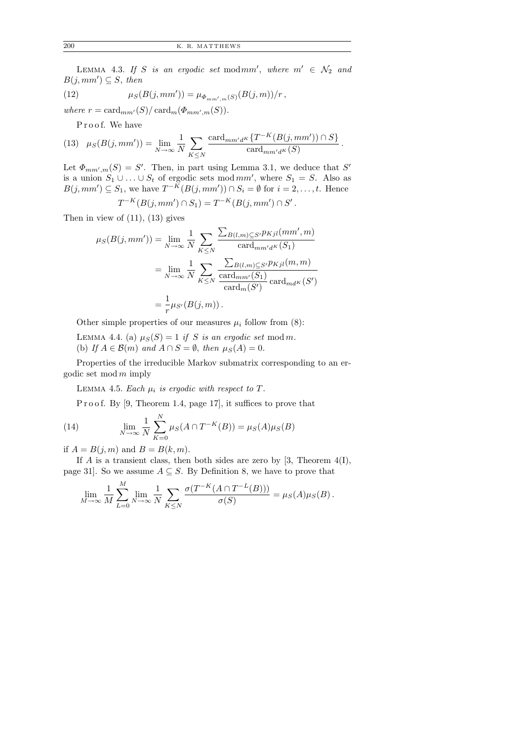LEMMA 4.3. If S is an ergodic set modmm', where  $m' \in \mathcal{N}_2$  and  $B(j,mm') \subseteq S$ , then

(12) 
$$
\mu_S(B(j,mm')) = \mu_{\Phi_{mm',m}(S)}(B(j,m))/r,
$$

where  $r = \text{card}_{mm'}(S)/\text{card}_{m}(\Phi_{mm',m}(S)).$ 

Proof. We have

(13) 
$$
\mu_S(B(j,mm')) = \lim_{N \to \infty} \frac{1}{N} \sum_{K \leq N} \frac{\operatorname{card}_{mm'd^K}\{T^{-K}(B(j,mm')) \cap S\}}{\operatorname{card}_{mm'd^K}(S)}.
$$

Let  $\Phi_{mm',m}(S) = S'$ . Then, in part using Lemma 3.1, we deduce that S' is a union  $S_1 \cup ... \cup S_t$  of ergodic sets mod  $mm'$ , where  $S_1 = S$ . Also as  $B(j,mm') \subseteq S_1$ , we have  $T^{-K}(B(j,mm')) \cap S_i = \emptyset$  for  $i = 2, \ldots, t$ . Hence

$$
T^{-K}(B(j,mm') \cap S_1) = T^{-K}(B(j,mm') \cap S' .
$$

Then in view of  $(11)$ ,  $(13)$  gives

$$
\mu_S(B(j,mm')) = \lim_{N \to \infty} \frac{1}{N} \sum_{K \leq N} \frac{\sum_{B(l,m) \subseteq S'} p_{Kjl}(mm',m)}{\text{card}_{mm'dK}(S_1)}
$$

$$
= \lim_{N \to \infty} \frac{1}{N} \sum_{K \leq N} \frac{\sum_{B(l,m) \subseteq S'} p_{Kjl}(m,m)}{\text{card}_{mm'}(S_1)} \text{card}_{mdK}(S')
$$

$$
= \frac{1}{r} \mu_{S'}(B(j,m)).
$$

Other simple properties of our measures  $\mu_i$  follow from (8):

LEMMA 4.4. (a)  $\mu_S(S) = 1$  if S is an ergodic set mod m. (b) If  $A \in \mathcal{B}(m)$  and  $A \cap S = \emptyset$ , then  $\mu_S(A) = 0$ .

Properties of the irreducible Markov submatrix corresponding to an ergodic set  $mod m$  imply

LEMMA 4.5. Each  $\mu_i$  is ergodic with respect to T.

P r o o f. By [9, Theorem 1.4, page 17], it suffices to prove that

(14) 
$$
\lim_{N \to \infty} \frac{1}{N} \sum_{K=0}^{N} \mu_S(A \cap T^{-K}(B)) = \mu_S(A)\mu_S(B)
$$

if  $A = B(j, m)$  and  $B = B(k, m)$ .

If A is a transient class, then both sides are zero by  $[3,$  Theorem  $4(I)$ , page 31]. So we assume  $A \subseteq S$ . By Definition 8, we have to prove that

$$
\lim_{M \to \infty} \frac{1}{M} \sum_{L=0}^{M} \lim_{N \to \infty} \frac{1}{N} \sum_{K \leq N} \frac{\sigma(T^{-K}(A \cap T^{-L}(B)))}{\sigma(S)} = \mu_S(A)\mu_S(B).
$$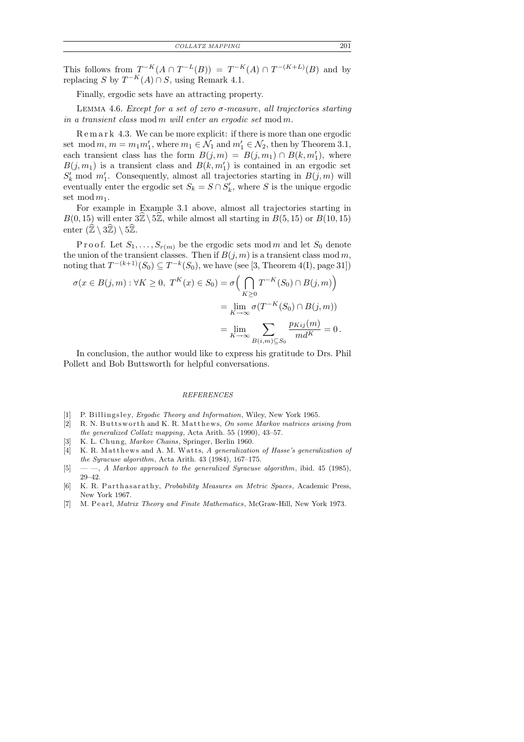This follows from  $T^{-K}(A \cap T^{-L}(B)) = T^{-K}(A) \cap T^{-(K+L)}(B)$  and by replacing S by  $T^{-K}(A) \cap S$ , using Remark 4.1.

Finally, ergodic sets have an attracting property.

LEMMA 4.6. Except for a set of zero  $\sigma$ -measure, all trajectories starting in a transient class mod m will enter an ergodic set mod m.

R e m a r k 4.3. We can be more explicit: if there is more than one ergodic set mod  $m, m = m_1 m_1'$ , where  $m_1 \in \mathcal{N}_1$  and  $m_1' \in \mathcal{N}_2$ , then by Theorem 3.1, each transient class has the form  $B(j,m) = B(j,m_1) \cap B(k,m'_1)$ , where  $B(j, m_1)$  is a transient class and  $B(k, m'_1)$  is contained in an ergodic set  $S'_{k}$  mod  $m'_{1}$ . Consequently, almost all trajectories starting in  $B(j, m)$  will eventually enter the ergodic set  $S_k = S \cap S'_k$ , where S is the unique ergodic set mod  $m_1$ .

For example in Example 3.1 above, almost all trajectories starting in  $B(0, 15)$  will enter  $3\mathbb{Z}\setminus 5\mathbb{Z}$ , while almost all starting in  $B(5, 15)$  or  $B(10, 15)$ enter  $(\mathbb{Z} \setminus 3\mathbb{Z}) \setminus 5\mathbb{Z}$ .

P r o o f. Let  $S_1, \ldots, S_{r(m)}$  be the ergodic sets mod m and let  $S_0$  denote the union of the transient classes. Then if  $B(j, m)$  is a transient class mod m, noting that  $T^{-(k+1)}(S_0) \subseteq T^{-k}(S_0)$ , we have (see [3, Theorem 4(I), page 31])

$$
\sigma(x \in B(j,m) : \forall K \ge 0, T^K(x) \in S_0) = \sigma\left(\bigcap_{K \ge 0} T^{-K}(S_0) \cap B(j,m)\right)
$$

$$
= \lim_{K \to \infty} \sigma(T^{-K}(S_0) \cap B(j,m))
$$

$$
= \lim_{K \to \infty} \sum_{B(i,m) \subseteq S_0} \frac{p_{Kij}(m)}{md^K} = 0.
$$

In conclusion, the author would like to express his gratitude to Drs. Phil Pollett and Bob Buttsworth for helpful conversations.

### REFERENCES

- [1] P. Billingsley, *Ergodic Theory and Information*, Wiley, New York 1965.
- [2] R. N. Buttsworth and K. R. Matthews, On some Markov matrices arising from the generalized Collatz mapping, Acta Arith. 55 (1990), 43–57.
- [3] K. L. Chung, Markov Chains, Springer, Berlin 1960.
- [4] K. R. Matthews and A. M. Watts, A generalization of Hasse's generalization of the Syracuse algorithm, Acta Arith. 43 (1984), 167–175.
- [5]  $-$ , A Markov approach to the generalized Syracuse algorithm, ibid. 45 (1985), 29–42.
- [6] K. R. Parthasarathy, Probability Measures on Metric Spaces, Academic Press, New York 1967.
- [7] M. Pearl, *Matrix Theory and Finite Mathematics*, McGraw-Hill, New York 1973.